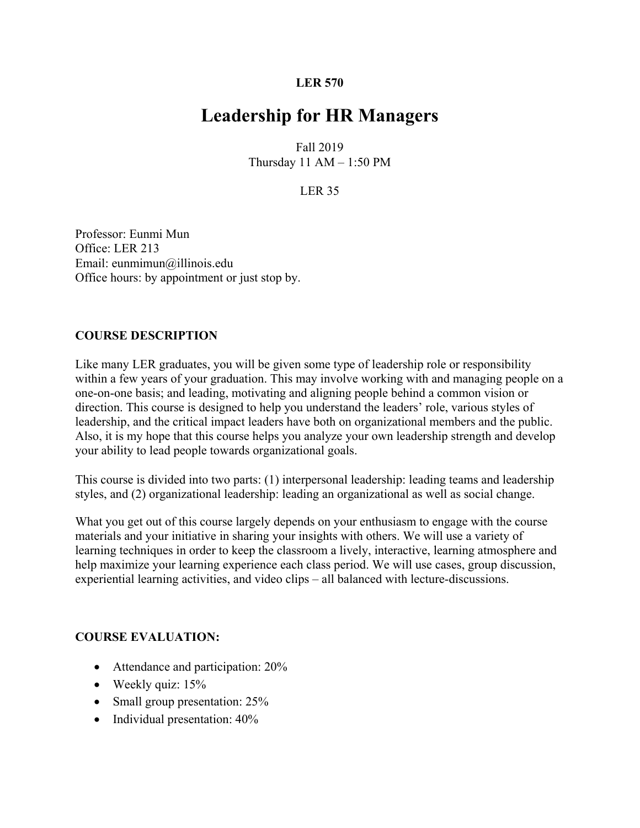#### **LER 570**

# **Leadership for HR Managers**

Fall 2019 Thursday  $11$  AM  $-$  1:50 PM

### LER 35

Professor: Eunmi Mun Office: LER 213 Email: eunmimun@illinois.edu Office hours: by appointment or just stop by.

#### **COURSE DESCRIPTION**

Like many LER graduates, you will be given some type of leadership role or responsibility within a few years of your graduation. This may involve working with and managing people on a one-on-one basis; and leading, motivating and aligning people behind a common vision or direction. This course is designed to help you understand the leaders' role, various styles of leadership, and the critical impact leaders have both on organizational members and the public. Also, it is my hope that this course helps you analyze your own leadership strength and develop your ability to lead people towards organizational goals.

This course is divided into two parts: (1) interpersonal leadership: leading teams and leadership styles, and (2) organizational leadership: leading an organizational as well as social change.

What you get out of this course largely depends on your enthusiasm to engage with the course materials and your initiative in sharing your insights with others. We will use a variety of learning techniques in order to keep the classroom a lively, interactive, learning atmosphere and help maximize your learning experience each class period. We will use cases, group discussion, experiential learning activities, and video clips – all balanced with lecture-discussions.

## **COURSE EVALUATION:**

- Attendance and participation: 20%
- Weekly quiz: 15%
- Small group presentation: 25%
- Individual presentation:  $40\%$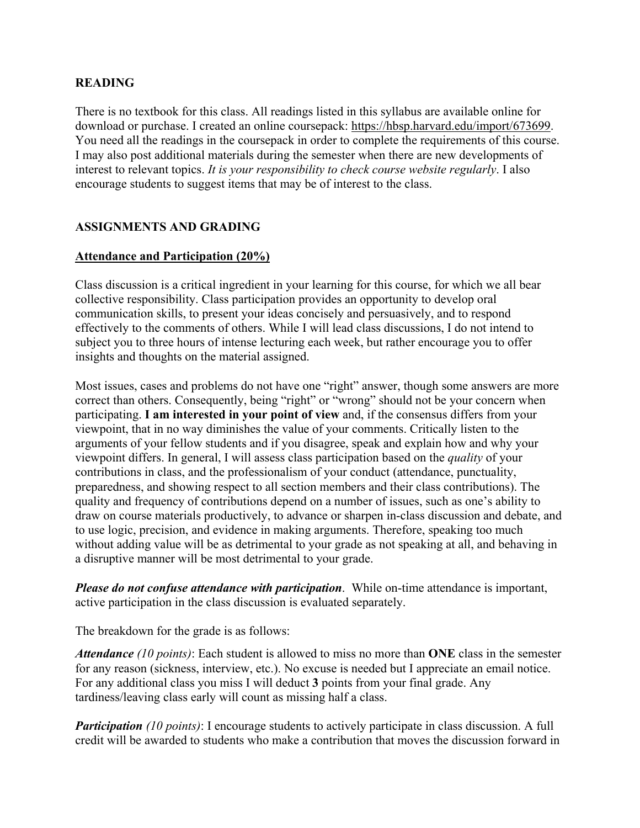#### **READING**

There is no textbook for this class. All readings listed in this syllabus are available online for download or purchase. I created an online coursepack: https://hbsp.harvard.edu/import/673699. You need all the readings in the coursepack in order to complete the requirements of this course. I may also post additional materials during the semester when there are new developments of interest to relevant topics. *It is your responsibility to check course website regularly*. I also encourage students to suggest items that may be of interest to the class.

## **ASSIGNMENTS AND GRADING**

#### **Attendance and Participation (20%)**

Class discussion is a critical ingredient in your learning for this course, for which we all bear collective responsibility. Class participation provides an opportunity to develop oral communication skills, to present your ideas concisely and persuasively, and to respond effectively to the comments of others. While I will lead class discussions, I do not intend to subject you to three hours of intense lecturing each week, but rather encourage you to offer insights and thoughts on the material assigned.

Most issues, cases and problems do not have one "right" answer, though some answers are more correct than others. Consequently, being "right" or "wrong" should not be your concern when participating. **I am interested in your point of view** and, if the consensus differs from your viewpoint, that in no way diminishes the value of your comments. Critically listen to the arguments of your fellow students and if you disagree, speak and explain how and why your viewpoint differs. In general, I will assess class participation based on the *quality* of your contributions in class, and the professionalism of your conduct (attendance, punctuality, preparedness, and showing respect to all section members and their class contributions). The quality and frequency of contributions depend on a number of issues, such as one's ability to draw on course materials productively, to advance or sharpen in-class discussion and debate, and to use logic, precision, and evidence in making arguments. Therefore, speaking too much without adding value will be as detrimental to your grade as not speaking at all, and behaving in a disruptive manner will be most detrimental to your grade.

*Please do not confuse attendance with participation*. While on-time attendance is important, active participation in the class discussion is evaluated separately.

The breakdown for the grade is as follows:

*Attendance (10 points)*: Each student is allowed to miss no more than **ONE** class in the semester for any reason (sickness, interview, etc.). No excuse is needed but I appreciate an email notice. For any additional class you miss I will deduct **3** points from your final grade. Any tardiness/leaving class early will count as missing half a class.

*Participation (10 points)*: I encourage students to actively participate in class discussion. A full credit will be awarded to students who make a contribution that moves the discussion forward in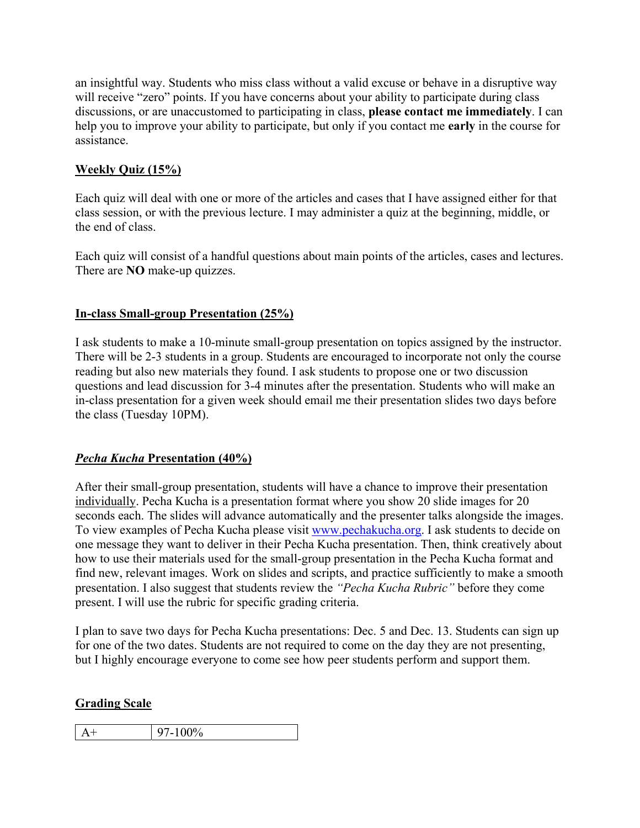an insightful way. Students who miss class without a valid excuse or behave in a disruptive way will receive "zero" points. If you have concerns about your ability to participate during class discussions, or are unaccustomed to participating in class, **please contact me immediately**. I can help you to improve your ability to participate, but only if you contact me **early** in the course for assistance.

## **Weekly Quiz (15%)**

Each quiz will deal with one or more of the articles and cases that I have assigned either for that class session, or with the previous lecture. I may administer a quiz at the beginning, middle, or the end of class.

Each quiz will consist of a handful questions about main points of the articles, cases and lectures. There are **NO** make-up quizzes.

## **In-class Small-group Presentation (25%)**

I ask students to make a 10-minute small-group presentation on topics assigned by the instructor. There will be 2-3 students in a group. Students are encouraged to incorporate not only the course reading but also new materials they found. I ask students to propose one or two discussion questions and lead discussion for 3-4 minutes after the presentation. Students who will make an in-class presentation for a given week should email me their presentation slides two days before the class (Tuesday 10PM).

## *Pecha Kucha* **Presentation (40%)**

After their small-group presentation, students will have a chance to improve their presentation individually. Pecha Kucha is a presentation format where you show 20 slide images for 20 seconds each. The slides will advance automatically and the presenter talks alongside the images. To view examples of Pecha Kucha please visit www.pechakucha.org. I ask students to decide on one message they want to deliver in their Pecha Kucha presentation. Then, think creatively about how to use their materials used for the small-group presentation in the Pecha Kucha format and find new, relevant images. Work on slides and scripts, and practice sufficiently to make a smooth presentation. I also suggest that students review the *"Pecha Kucha Rubric"* before they come present. I will use the rubric for specific grading criteria.

I plan to save two days for Pecha Kucha presentations: Dec. 5 and Dec. 13. Students can sign up for one of the two dates. Students are not required to come on the day they are not presenting, but I highly encourage everyone to come see how peer students perform and support them.

## **Grading Scale**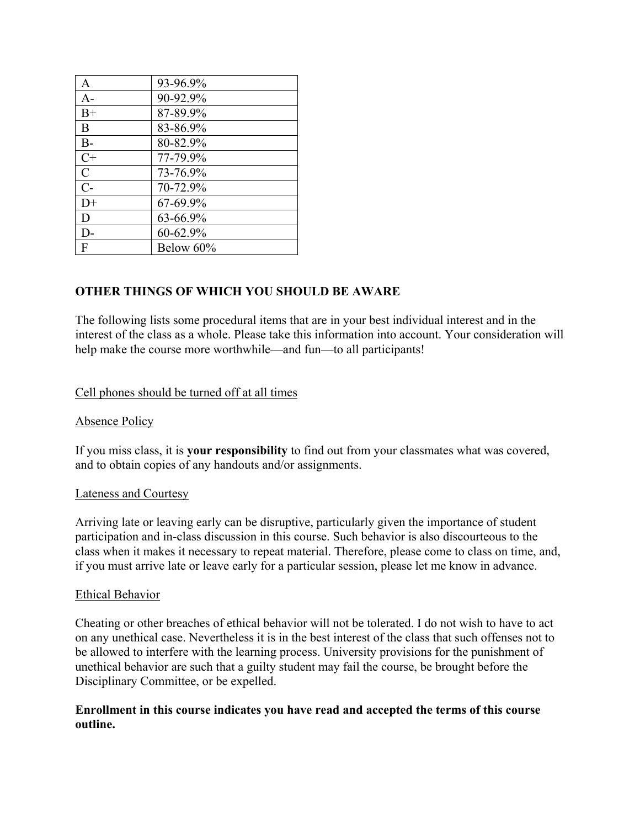| A             | 93-96.9%  |
|---------------|-----------|
| $A-$          | 90-92.9%  |
| $B+$          | 87-89.9%  |
| B             | 83-86.9%  |
| $B-$          | 80-82.9%  |
| $C+$          | 77-79.9%  |
| $\mathcal{C}$ | 73-76.9%  |
| $C-$          | 70-72.9%  |
| $D+$          | 67-69.9%  |
| D             | 63-66.9%  |
| D-            | 60-62.9%  |
| F             | Below 60% |

## **OTHER THINGS OF WHICH YOU SHOULD BE AWARE**

The following lists some procedural items that are in your best individual interest and in the interest of the class as a whole. Please take this information into account. Your consideration will help make the course more worthwhile—and fun—to all participants!

#### Cell phones should be turned off at all times

#### Absence Policy

If you miss class, it is **your responsibility** to find out from your classmates what was covered, and to obtain copies of any handouts and/or assignments.

#### Lateness and Courtesy

Arriving late or leaving early can be disruptive, particularly given the importance of student participation and in-class discussion in this course. Such behavior is also discourteous to the class when it makes it necessary to repeat material. Therefore, please come to class on time, and, if you must arrive late or leave early for a particular session, please let me know in advance.

#### Ethical Behavior

Cheating or other breaches of ethical behavior will not be tolerated. I do not wish to have to act on any unethical case. Nevertheless it is in the best interest of the class that such offenses not to be allowed to interfere with the learning process. University provisions for the punishment of unethical behavior are such that a guilty student may fail the course, be brought before the Disciplinary Committee, or be expelled.

#### **Enrollment in this course indicates you have read and accepted the terms of this course outline.**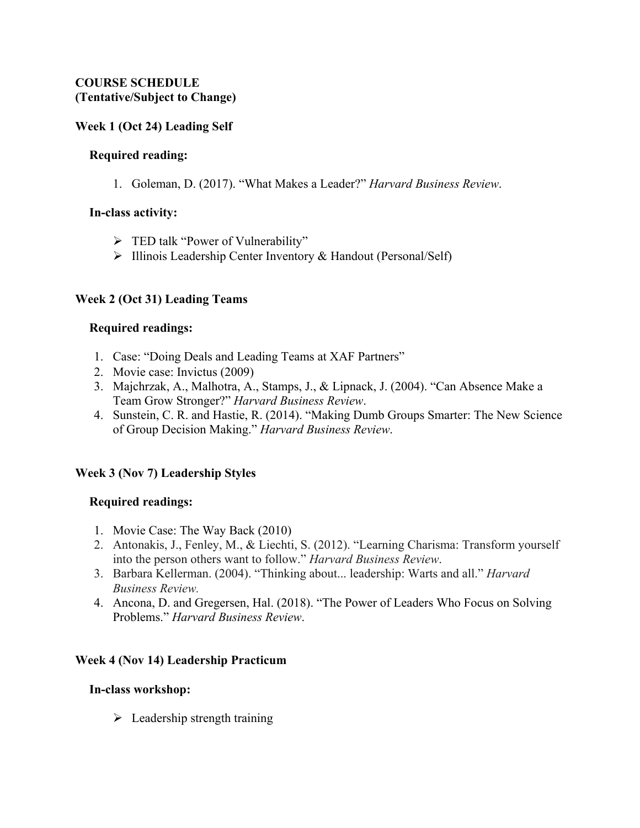### **COURSE SCHEDULE (Tentative/Subject to Change)**

### **Week 1 (Oct 24) Leading Self**

#### **Required reading:**

1. Goleman, D. (2017). "What Makes a Leader?" *Harvard Business Review*.

#### **In-class activity:**

- > TED talk "Power of Vulnerability"
- $\triangleright$  Illinois Leadership Center Inventory & Handout (Personal/Self)

#### **Week 2 (Oct 31) Leading Teams**

#### **Required readings:**

- 1. Case: "Doing Deals and Leading Teams at XAF Partners"
- 2. Movie case: Invictus (2009)
- 3. Majchrzak, A., Malhotra, A., Stamps, J., & Lipnack, J. (2004). "Can Absence Make a Team Grow Stronger?" *Harvard Business Review*.
- 4. Sunstein, C. R. and Hastie, R. (2014). "Making Dumb Groups Smarter: The New Science of Group Decision Making." *Harvard Business Review*.

## **Week 3 (Nov 7) Leadership Styles**

#### **Required readings:**

- 1. Movie Case: The Way Back (2010)
- 2. Antonakis, J., Fenley, M., & Liechti, S. (2012). "Learning Charisma: Transform yourself into the person others want to follow." *Harvard Business Review*.
- 3. Barbara Kellerman. (2004). "Thinking about... leadership: Warts and all." *Harvard Business Review.*
- 4. Ancona, D. and Gregersen, Hal. (2018). "The Power of Leaders Who Focus on Solving Problems." *Harvard Business Review*.

## **Week 4 (Nov 14) Leadership Practicum**

#### **In-class workshop:**

 $\triangleright$  Leadership strength training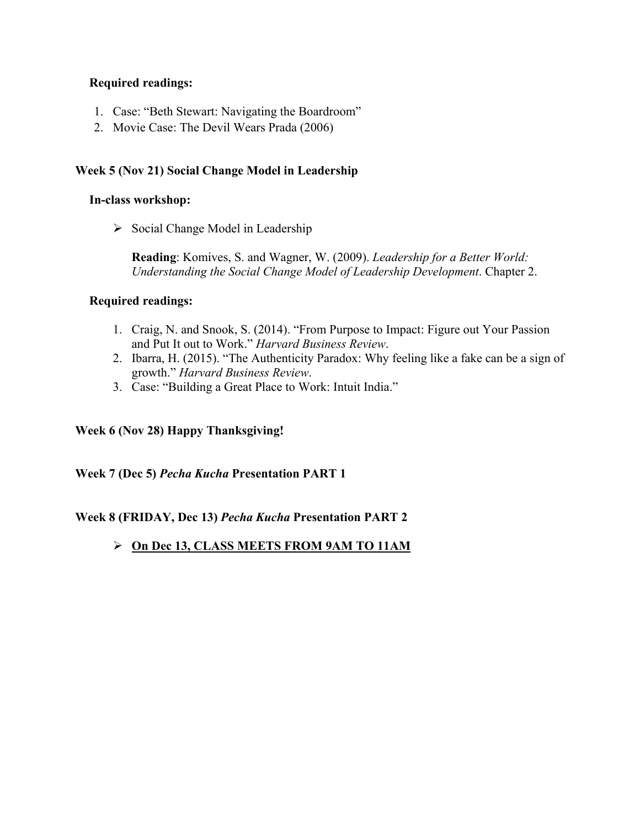## **Required readings:**

- 1. Case: "Beth Stewart: Navigating the Boardroom"
- 2. Movie Case: The Devil Wears Prada (2006)

## **Week 5 (Nov 21) Social Change Model in Leadership**

#### **In-class workshop:**

 $\triangleright$  Social Change Model in Leadership

**Reading**: Komives, S. and Wagner, W. (2009). *Leadership for a Better World: Understanding the Social Change Model of Leadership Development*. Chapter 2.

## **Required readings:**

- 1. Craig, N. and Snook, S. (2014). "From Purpose to Impact: Figure out Your Passion and Put It out to Work." *Harvard Business Review*.
- 2. Ibarra, H. (2015). "The Authenticity Paradox: Why feeling like a fake can be a sign of growth." *Harvard Business Review*.
- 3. Case: "Building a Great Place to Work: Intuit India."

**Week 6 (Nov 28) Happy Thanksgiving!** 

**Week 7 (Dec 5)** *Pecha Kucha* **Presentation PART 1** 

## **Week 8 (FRIDAY, Dec 13)** *Pecha Kucha* **Presentation PART 2**

## **On Dec 13, CLASS MEETS FROM 9AM TO 11AM**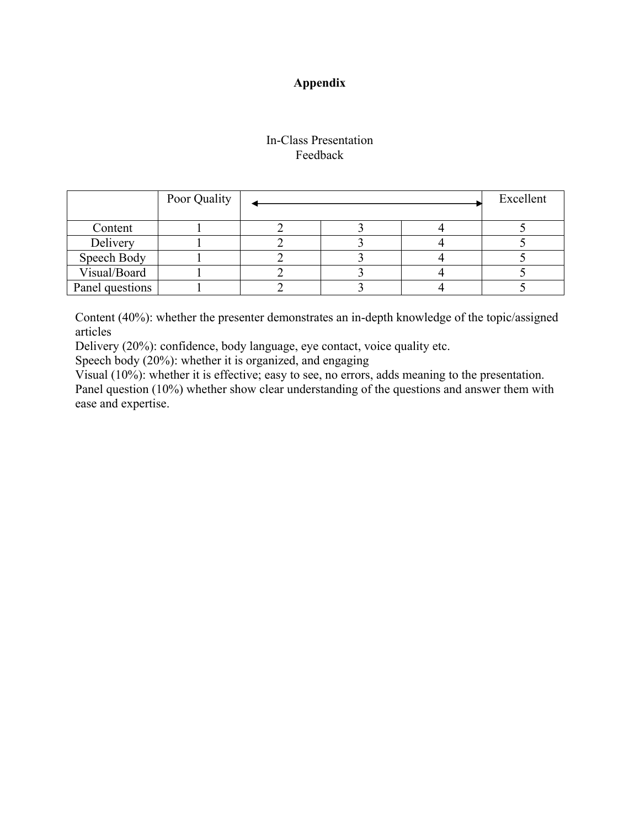## **Appendix**

## In-Class Presentation Feedback

|                 | Poor Quality |  | Excellent |  |
|-----------------|--------------|--|-----------|--|
|                 |              |  |           |  |
| Content         |              |  |           |  |
| Delivery        |              |  |           |  |
| Speech Body     |              |  |           |  |
| Visual/Board    |              |  |           |  |
| Panel questions |              |  |           |  |

Content (40%): whether the presenter demonstrates an in-depth knowledge of the topic/assigned articles

Delivery (20%): confidence, body language, eye contact, voice quality etc.

Speech body (20%): whether it is organized, and engaging

Visual (10%): whether it is effective; easy to see, no errors, adds meaning to the presentation.

Panel question (10%) whether show clear understanding of the questions and answer them with ease and expertise.